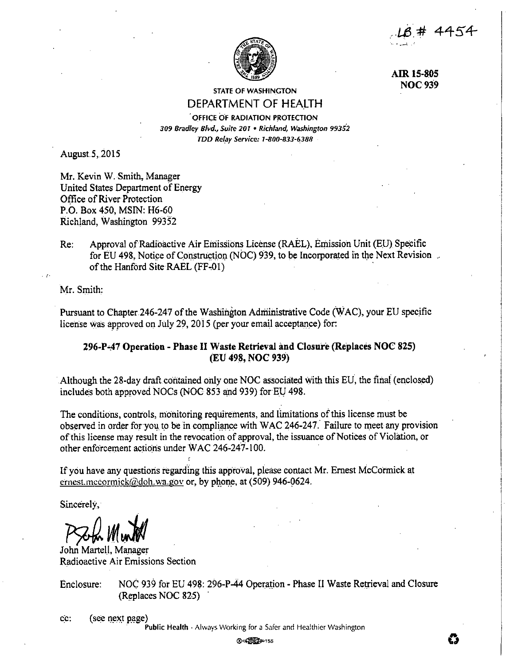$-18$  # 4454 ,. • .,..-..!\_ - *<sup>I</sup>*



**AIR 15-805 NOC939** 

# STATE OF WASHINGTON DEPARTMENT OF HEALTH

OFFICE OF RADIATION PROTECTION *309 Bradley Blvd., Suite 201* • *Richland, Washington 99352 TDD Relay Service: 1-800-833-6388* 

August.5,.2015

Mr. Kevin W. Smith, Manager United States Department of Energy Office of River Protection P.O. Box 450, MSIN: H6-60 Richland, Washington 99352

Re: Approval of Radioactive Air Emissions License (RAEL), Emission Unit (EU) Specific for EU 498, Notice of Construction (NOC) 939, to be Incorporated in the Next Revision of the Hanford Site RAEL (FF-01)

Mr. Smith:

Pursuant to Chapter.246-247 of the Washington Administrative Code (WAC), your EU specific license was approved on July 29, 2015 (per your email acceptance) for:

# **296-P-47 Operation** - **Phase** II **Waste Retrieval and Closure (Replaces NOC 825) (EU 498, NOC 939)**

Although the 28-day draft contained only one NOC associated with this EU, the final (enclosed) includes both approved NOCs (NOC 853 and 939) for EU 498.

The conditions, controls, monitoring requirements, and lunitations ofthis license must be observed in order for you to be in compliance with WAC 246-247. Failure to meet any provision ofthis license may result in the revocation of approval, the issuance of Notices of Violation, or other enforcement actions under WAC 246-247-100.

If you have any questions regarding this approval, please contact Mr. Ernest McCormick at ernest.mccormick@doh.wa.gov or, by phone, at (509) 946-0624.

Sincerely,

 $P$ Soba Muntol

John Martell, Manager Radioactive Air Emissions Section

Enclosure: NOC 939 for EU 498: 296-P-44 Operation - Phase II Waste Retrieval and Closure (Replaces NOC 825)

cc: ( see next page)<br>**Public Health -** Always Working for a Safer and Healthier Washington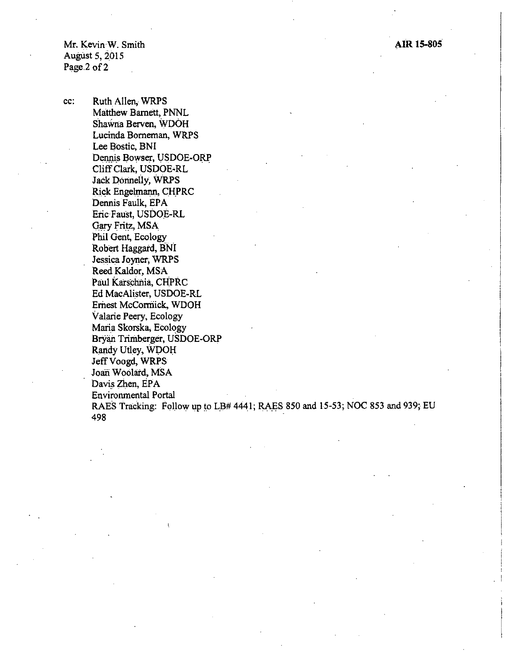Mr. Kevin·W. Smith August 5, 2015 Page 2 of 2

cc: Ruth Allen, WRPS Matthew Barnett, PNNL Shawna Berven, \VDOH Lucinda Borneman, WRPS Lee Bostic, BNI Dennis Bowser, USDOE-ORP Cliff Clark, USDOE-RL Jack Oorinelly, WRPs Rick Engelmann, CHPRC Dennis Faulk, EPA Eric Faust, USDOE-RL Gary Fritz, MSA Phil Gent, Ecology Robert Haggard, BNI Jessica Joyner, WRPS Reed Kaldor, MSA Paul Karschnia, CHPRC Ed MacAlister, USDOE-RL Ernest McConriick, WDOH Valarie Peery, Ecology Maria Skorska, Ecology Bryan Triniberger, USDOE-ORP Randy Utley, WDOH Jeff Voogd, WRPS Joan Woolard, MSA Davis Zhen, EPA Environmental Portal RAES Tracking: Follow up to LB# 4441; RAES 850 and 15-53; NOC 853 and 939; EU 498

**AIR 15-805**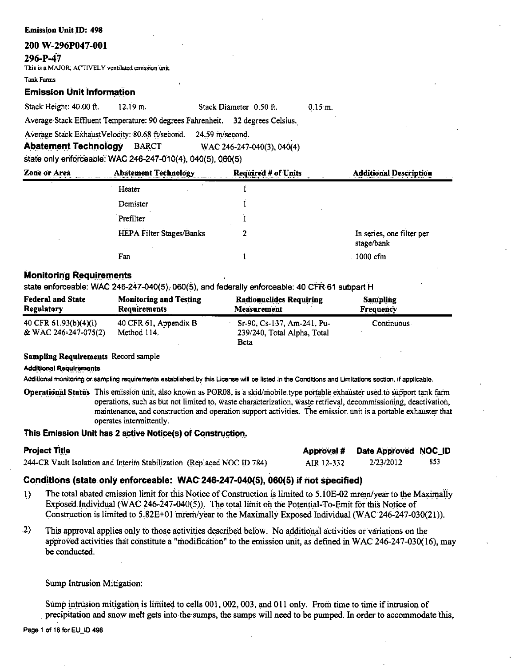## 200 W-296P047-001

### 296-P-47

This is a MAJOR, ACTIVELY ventilated emission unit.

**Tonk Forms** 

## **Emission Unit Information**

Stack Height: 40.00 ft.  $12.19 m.$ 

Stack Diameter 0.50 ft.  $0.15 m$ .

Average Stack Effluent Temperature: 90 degrees Fahrenheit. 32 degrees Celsius.

Average Stack ExhaustVelocity: 80.68 ft/second. 24.59 m/second.

**Abatement Technology BARCT** WAC 246-247-040(3), 040(4)

state only enforceable: WAC 246-247-010(4), 040(5), 060(5)

| <b>Zone or Area</b> | <b>Abatement Technology</b> | <b>Required # of Units</b> | <b>Additional Description</b>           |  |
|---------------------|-----------------------------|----------------------------|-----------------------------------------|--|
|                     | Heater                      |                            |                                         |  |
|                     | Demister                    |                            |                                         |  |
|                     | Prefilter                   |                            |                                         |  |
|                     | HEPA Filter Stages/Banks    |                            | In series, one filter per<br>stage/bank |  |
|                     | Fan                         |                            | 1000 cfm                                |  |

## **Monitoring Requirements**

state enforceable: WAC 246-247-040(5), 060(5), and federally enforceable: 40 CFR 61 subpart H

| <b>Federal and State</b> | <b>Monitoring and Testing</b> | <b>Radionuclides Requiring</b> | <b>Sampling</b>  |
|--------------------------|-------------------------------|--------------------------------|------------------|
| <b>Regulatory</b>        | <b>Requirements</b>           | <b>Measurement</b>             | <b>Frequency</b> |
| 40 CFR 61.93(b)(4)(i)    | 40 CFR 61, Appendix B         | Sr-90, Cs-137, Am-241, Pu-     | Continuous       |
| & WAC 246-247-075(2)     | Method 114.                   | 239/240, Total Alpha, Total    |                  |
|                          |                               | Beta                           |                  |

## **Sampling Requirements Record sample**

**Additional Requirements** 

Additional monitoring or sampling requirements established by this License will be listed in the Conditions and Limitations section, if applicable.

Operational Status This emission unit, also known as POR08, is a skid/mobile type portable exhauster used to support tank farm operations, such as but not limited to, waste characterization, waste retrieval, decommissioning, deactivation, maintenance, and construction and operation support activities. The emission unit is a portable exhauster that operates intermittently.

## This Emission Unit has 2 active Notice(s) of Construction.

| <b>Project Title</b>                                                   |            | Approval # Date Approved NOC_ID |     |
|------------------------------------------------------------------------|------------|---------------------------------|-----|
| 244-CR Vault Isolation and Interim Stabilization (Replaced NOC ID 784) | AIR 12-332 | 2/23/2012                       | 853 |

## Conditions (state only enforceable: WAC 246-247-040(5), 060(5) if not specified)

- $1)$ The total abated emission limit for this Notice of Construction is limited to 5,10E-02 mrem/year to the Maximally Exposed Individual (WAC 246-247-040(5)). The total limit on the Potential-To-Emit for this Notice of Construction is limited to 5.82E+01 mrem/year to the Maximally Exposed Individual (WAC 246-247-030(21)).
- $\left( \frac{2}{2} \right)$ This approval applies only to those activities described below. No additional activities or variations on the approved activities that constitute a "modification" to the emission unit, as defined in WAC 246-247-030(16), may be conducted.

Sump Intrusion Mitigation:

Sump intrusion mitigation is limited to cells 001, 002, 003, and 011 only. From time to time if intrusion of precipitation and snow melt gets into the sumps, the sumps will need to be pumped. In order to accommodate this,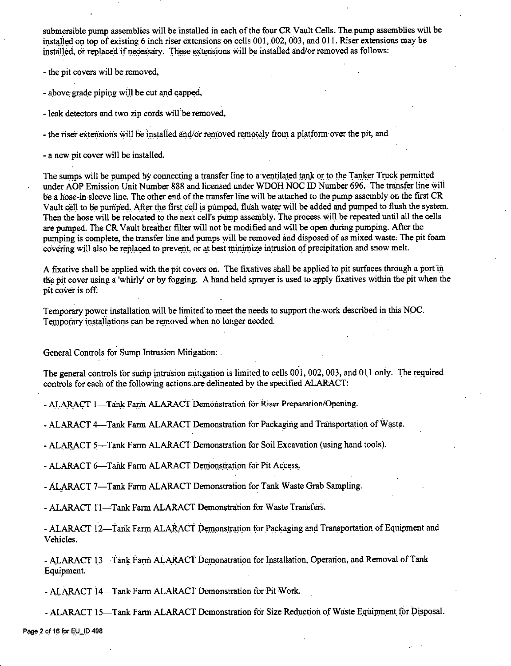submersible pump assemblies will be installed in each of the four CR Vault Cells. The pump assemblies will be installed on top of existing 6 inch riser extensions on cells 001, 002, 003, and 011. Riser extensions may be installed, or replaced if necessary. These extensions will be installed and/or removed as follows:

- the pit covers will be removed,

- above grade piping will be cut and capped,

- leak detectors and two zip cords will be removed,

- the riser extensions will be installed and/or removed remotely from a platform over the pit, and

- a new pit cover will be installed.

The sumps will be pumped by connecting a transfer line to a ventilated tank or to the Tanker Truck permitted under AOP Emission Unit Number 888 and licensed under WDOH NOC ID Number 696. The transfer line will be a hose-in sleeve line. The other end of the transfer line will be attached to the pump assembly on the first CR Vault cell to be pumped. After the first cell is pumped, flush water will be added and pumped to flush the system. Then the hose will be relocated to the next cell's pump assembly. The process will be repeated until all the cells are pumped. The CR Vault breather filter will not be modified and will be open during pumping. After the pumping is complete, the transfer line and pumps will be removed and disposed of as mixed waste, The pit foam covering will also be replaced to prevent, or at best minimize intrusion of precipitation and snow melt.

A fixative shall be applied with the pit covers on. The fixatives shall be applied to pit surfaces through a port in the pit cover using a 'whirly' or by fogging. A hand held sprayer is used to apply fixatives within the pit when the pit cover is off:

Temporary power installation will be limited to meet the needs to support the work described in this NOC. Temporary installations can be removed when no longer needed.

General Controls for Sump Intrusion Mitigation: .

The general controls for sump intrusion mitigation is limited to cells  $001, 002, 003$ , and  $011$  only. The required controls for each of the following actions are delineated by the specified ALARACT:

- ALARACT 1-Tank Farm ALARACT Demonstration for Riser Preparation/Opening.

- ALARACT 4-Tank Farm ALARACT Demonstration for Packaging and Transportation of Waste.

- ALARACT 5-Tank Farm ALARACT Demonstration for Soil Excavation (using hand tools).

- ALARACT 6-Tank Farm ALARACT Demonstration for Pit Access.

- ALARACT 7-Tank Farm ALARACT Demonstration for Tank Waste Grab Sampling.

- ALARACT 11-Tank Farm ALARACT Demonstration for Waste Transfers.

- ALARACT 12-Tank Farm, ALARACT Demonstration for Packaging and Transportation of Equipment and Vehicles.

- ALARACT 13-Tank Farm ALARACT Demonstration for Installation, Operation, and Removal of Tank Equipment.

- ALARACT 14-Tank Farm ALARACT Demonstration for Pit Work.

- ALARACT 15-Tank Farm ALARACT Demonstration for Size Reduction of Waste Equipment for Disposal.

Page 2 of 16 for EU\_ID 498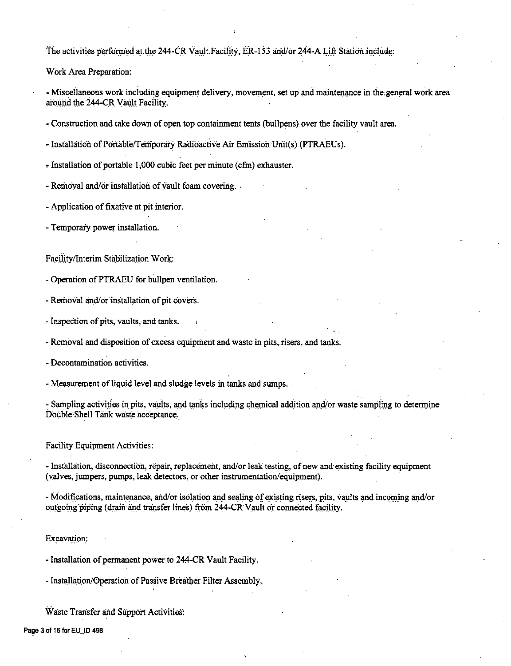The activities performed at the 244-CR Vault Facility, ER-153 and/or 244-A Lift Station include:

Work Area Preparation:

- Miscellaneous work including equipment delivery, movement, set up and maintenance in the general work area around the 244-CR Vault Facility.

- Construction and take down of open top containment tents (bullpens) over the facility vault area.

- Installation of Portable/Temporary Radioactive Air Emission Unit(s) (PTRAEUs).

- Installation of portable 1,000 cubic feet per minute (cfm) exhauster.

- Removal and/or installation of yault foam covering.

- Application of fixative at pit interior.

- Temporary power installation.

Facility/Interim Stabilization Work:

- Operation of PTRAEU for bullpen ventilation.

- Removal and/or installation of pit covers.

- Inspection of pits, vaults, and tanks.

- Removal and disposition of excess equipment and waste in pits, risers, and tanks.

- Decontamination activities.

- Measurement of liquid level and sludge levels in tanks and sumps.

- Sampling activities in pits, vaults, and tanks including chemical addition and/or waste sampling to determine Double Shell Tank waste acceptance.

**Facility Equipment Activities:** 

- Installation, disconnection, repair, replacement, and/or leak testing, of new and existing facility equipment (valves, jumpers, pumps, leak detectors, or other instrumentation/equipment).

- Modifications, maintenance, and/or isolation and sealing of existing risers, pits, vaults and incoming and/or outgoing piping (drain and transfer lines) from 244-CR Vault or connected facility.

Excavation:

- Installation of permanent power to 244-CR Vault Facility.

- Installation/Operation of Passive Breather Filter Assembly.

Waste Transfer and Support Activities:

Page 3 of 16 for EU\_ID 498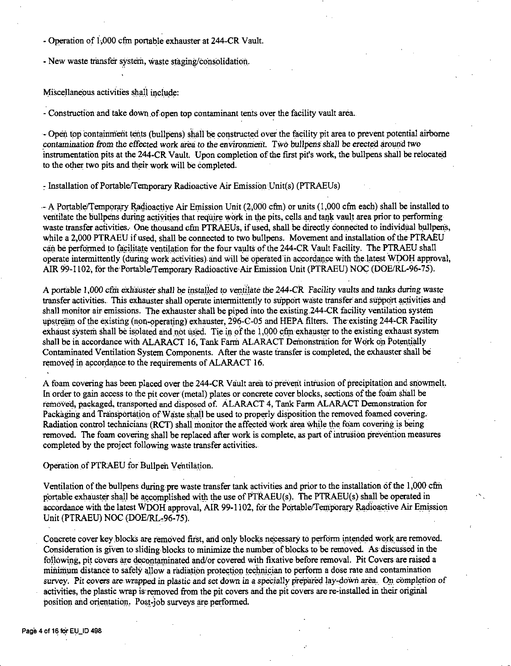- Operation of 1,000 cfm portable exhauster at 244-CR Vault.
- New waste transfer system, waste staging/consolidation.

Miscellaneous activities shall include:

- Construction and take down of open top contaminant tents over the facility vault area.

- Open top containment tents (bullpens) shall be constructed over the facility pit area to prevent potential airborne contamination from the effected work area to the environment. Two bullpens shall be erected around two instrumentation pits at the 244-CR Vault. Upon completion of the first pit's work, the bullpens shall be relocated to the other two pits and their work will be completed.

- Installation of Portable/Temporary Radioactive Air Emission Unit(s) (PTRAEUs)

- A Portable/Temporary Radioactive Air Emission Unit (2,000 cfm) or units (1,000 cfm each) shall be installed to ventilate the bullpens during activities that require work in the pits, cells and tank vault area prior to performing waste transfer activities. One thousand cfm PTRAEUs, if used, shall be directly connected to individual bullpens, while a 2,000 PTRAEU if used, shall be connected to two bullpens. Movement and installation of the PTRAEU can be performed to facilitate ventilation for the four vaults of the 244-CR Vault Facility. The PTRAEU shall operate intermittently (during work activities) and will be operated in accordance with the latest WDOH approval, AIR 99-1102, for the Portable/Temporary Radioactive Air Emission Unit (PTRAEU) NOC (DOE/RL-96-75).

A portable 1,000 cfm exhauster shall be installed to ventilate the 244-CR Facility vaults and tanks during waste transfer activities. This exhauster shall operate intermittently to support waste transfer and support activities and shall monitor air emissions. The exhauster shall be piped into the existing 244-CR facility ventilation system upstream of the existing (non-operating) exhauster, 296-C-05 and HEPA filters. The existing 244-CR Facility exhaust system shall be isolated and not used. Tie in of the 1,000 cfm exhauster to the existing exhaust system shall be in accordance with ALARACT 16, Tank Farm ALARACT Demonstration for Work on Potentially Contaminated Ventilation System Components. After the waste transfer is completed, the exhauster shall be removed in accordance to the requirements of ALARACT 16.

A foam covering has been placed over the 244-CR Vault area to prevent intrusion of precipitation and snowmelt. In order to gain access to the pit cover (metal) plates or concrete cover blocks, sections of the foam shall be removed, packaged, transported and disposed of. ALARACT 4, Tank Farm ALARACT Demonstration for Packaging and Transportation of Waste shall be used to properly disposition the removed foamed covering. Radiation control technicians (RCT) shall monitor the affected work area while the foam covering is being removed. The foam covering shall be replaced after work is complete, as part of intrusion prevention measures completed by the project following waste transfer activities.

## Operation of PTRAEU for Bullpen Ventilation.

Ventilation of the bullpens during pre waste transfer tank activities and prior to the installation of the 1,000 cfm portable exhauster shall be accomplished with the use of PTRAEU(s). The PTRAEU(s) shall be operated in accordance with the latest WDOH approval, AIR 99-1102, for the Portable/Temporary Radioactive Air Emission Unit (PTRAEU) NOC (DOE/RL-96-75).

Concrete cover key blocks are removed first, and only blocks necessary to perform intended work are removed. Consideration is given to sliding blocks to minimize the number of blocks to be removed. As discussed in the following, pit covers are decontaminated and/or covered with fixative before removal. Pit Covers are raised a minimum distance to safely allow a radiation protection technician to perform a dose rate and contamination survey. Pit covers are wrapped in plastic and set down in a specially prepared lay-down area. On completion of activities, the plastic wrap is removed from the pit covers and the pit covers are re-installed in their original position and orientation. Post-job surveys are performed.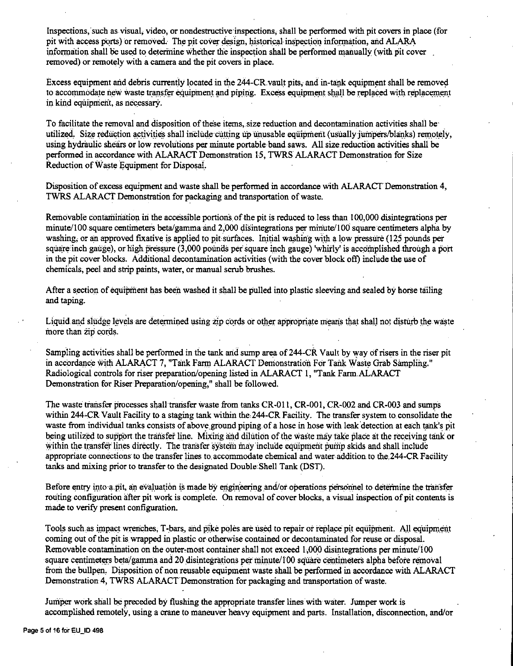Inspections, such as visual, video, or nondestructive inspections, shall be performed with pit covers in place (for pit with access ports) or removed. The pit cover design, historical-inspection information, and ALARA information shall be used to determine whether the inspection shall be performed manually (with pit cover removed) or remotely with a camera and the pit covers in place.

Excess equipment and debris currently located in the 244-CR vault pits, and in-tank equipment shall be removed to accommodate new waste transfer equipment and piping. Excess equipment shall be replaced with replacement in kind equipment, as necessary.

To facilitate the removal and disposition of these items,.size reduction and decontamination activities shall be· utilized. Size reduction activities shall include cutting up unusable equipment (usually jumpers/blanks) remotely, using hydraulic shears or low revolutions per minute portable band saws. All size reduction activities shall be performed in accordance with ALARACT Demonstration 15, TWRS ALARACT Demonstration for Size Reduction of Waste Equipment for DisposaL

Disposition of excess equipment and waste shall be performed in accordance with ALARACT Demonstration 4, TWRS ALARACT Demonstration for packaging and transportation of waste.

Removable contamination in the accessible portions of the pit is reduced to less than 100,000 disintegrations per minute/100 square centimeters beta/gamma and 2,000 disintegrations per minute/ $100$  square centimeters alpha by washing, or an approved fixative is applied to pit surfaces. Initial washing with a low pressure (125 pounds per square inch gauge), or high pressure (3,000 pounds per square inch gauge) 'whirly' is accomplished through a port in the pit cover blocks. Additional decontamination activities (with the cover block oft) include the use of chemicals, peel and strip paints, water, or manual scrub brushes.

After a section of equipment has been washed it shall be pulled into plastic sleeving and sealed by horse tailing and taping.

Liquid and sludge levels are determined using zip cords or other appropriate means that shall not disturb the waste more than zip cords.

Sampling activities shall be performed in the tank and sump area of 244-CR Vault by way of risers in the riser pit in accordance with ALARACT 7, "Tank Farm ALARACT Demonstration For Tank Waste Grab Sampling." Radiological controls for riser preparation/opening listed in ALARACT I, "Tank Farm.ALARACT Demonstration for Riser Preparation/opening,'' shall be followed.

The waste transfer processes shall transfer waste from tanks CR-011, CR-001, CR-002 and CR-003 and sumps within 244-CR Vault Facility to a staging tank within the 244-CR Facility. The transfer system to consolidate the waste from individual tanks consists of above ground piping of a hose in hose with leak detection at each tank's pit being utilized to support the transfer line. Mixing and dilution of the waste may take place at the receiving tank or within the transfer lines directly. The transfer system may include equipment pump skids and shall include appropriate connections to the transfer lines to. accommodate chemical and water addition. to the,244-CR Facility tanks and mixing prior to transfer to. the designated Double.Shell Tank (DST).

Before entry into a pit, an evaluation is made by engineering and/or operations personnel to determine the transfer routing configuration after pit work is compleie. On removal of cover blocks, a visual inspection of pit contents is made to verify present configuration.

Tools such as impact wrenches; T-bars, and pike poles are used to repair or replace pit equipment. All equipment coming out of the pit is wrapped in plastic or otherwise contained or decontaminated for reuse or disposal. Removable contamination on the outer-most container shall not exceed 1,000 disintegrations per minute/100 square centimeters beta/gamma and 20 disintegrations per minute/100 square centimeters alpha before removal from the bullpen. Disposition of non reusable equipment waste shall be performed in accordance with ALARACT Demonstration 4, TWRS ALARACT Demonstration for packaging and transportation of waste.

Jumper work shall be preceded by flushing the appropriate transfer lines with water. Jumper work is accomplished remotely, using a crane to maneuver heavy equipment and parts. Installation, disconnection, and/or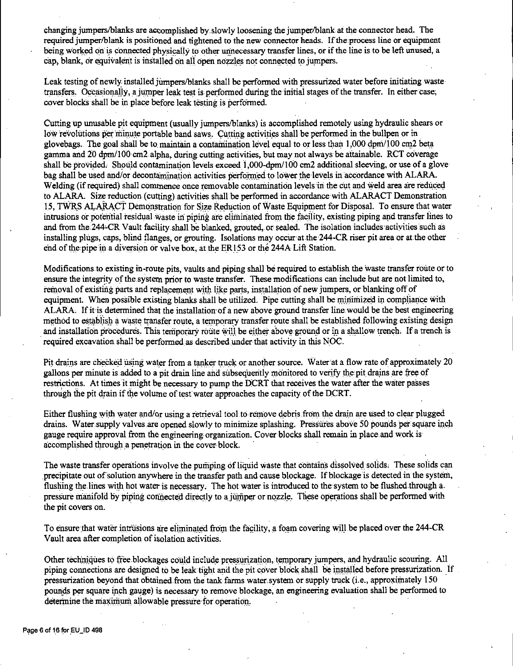changing jumpers/blanks are accomplished by slowly loosening the jumper/blank at the connector head. The required jumper/blank is positioned and tightened to the new connector heads. If the process line or equipment being worked on is connected physically to other unnecessary transfer lines, or if the line is to be left unused, a cap, blank, or equivalent is installed on all open nozzles not connected to jumpers.

Leak testing of newly installed jumpers/blanks shall be performed with pressurized water before initiating waste transfers. Occasionally, a jumper leak test is performed during the initial stages of the transfer. In either case, cover blocks shall be in place before leak testing is performed.

Cutting up unusable pit equipment (usually jumpers/blanks) is accomplished remotely using hydraulic shears or low revolutions per minute portable band saws. Cutting activities shall be performed in the bullpen or in glovebags. The goal shall be to maintain a contamination level equal to or less than 1,000 dpm/100 cm2 beta gamma and 20 dpm/100 cm2 alpha, during cutting activities, but may not always be attainable. RCT coverage shall be provided, Should contamination levels exceed I ,000-dpm/100 cm2 additional sleeving, or use of a glove bag shall be used and/or decontamination activities performed to lower the levels in accordance with ALARA. Welding (if required) shall commence once removable contamination levels in the cut and weld area are reduced to ALARA. Size reduction ( cutting) activities shall be performed in accordance with ALARACT Demonstration 15, TWRS ALARACT Demonstration for Size Reduction of Waste Equipment for Disposal. To ensure that water intrusions or potential residual waste in piping are eliminated from the facility, existing piping and transfer lines to and from the 244-CR Vault facility shall be blanked, grouted, or sealed. The isolation includes activities such as installing plugs, caps, blind flanges, or grouting. Isolations may occur at the 244-CR riser pit area or at the other end of the pipe in a diversion or valve box, at the ER153 or the 244A Lift Station.

Modifications to existing in-route pits, vaults and piping shall be required to establish the waste transfer route or to ensure the integrity of the system prior to waste transfer. These modifications can include but are not limited to, removal of existing parts and replacement with like parts, installation of new jumpers, or blanking off of equipment. When possible existing blanks shall be utilized. Pipe cutting shall be minimized in compliance with ALARA. If it is determined that the installation of a new above ground transfer line would be the best engineering method to establish a waste transfer route, a temporary transfer route shall be established following existing design and installation procedures. This temporary route will be either above ground or in a shallow trench. If a trench is required excavation shall be performed as described under that activity in this NOC.

Pit drains are checked using water from a tanker truck or another source. Water at a flow rate of approximately 20 gallons per minute is added to a pit drain line and subsequently monitored to verify the pit drains are free of restrictions. At times it might be necessary to pump the DCRT that receives the water after the water passes through the pit drain if the volume of test water approaches the capacity of the DCRT.

Either flushing with water and/or using a retrieval tool to remove debris. from the drain are used to clear plugged drains. Water supply valves are opened slowly to minimize splashing. Pressures above 50 pounds per square inch gauge require approval from the engineering-organization. Cover blocks shall remain in place.and work is accomplished through a penetration in the cover block.

The waste transfer operations involve the pumping of liquid waste that contains dissolved solids. These solids can precipitate out of solution anywhere in the transfer path and cause blockage. If blockage is detected in the system, flushing the lines with hot water is necessary. The hot water is introduced to the system to be flushed through a. pressure manifold by piping connected directly to a jumper or nozzle. These operations shall be performed with the pit covers on.

To ensure that water intrusions are eliminated from the facility, a foam covering will be placed over the 244-CR Vault area after completion of isolation activities.

Other techniques to free blockages could include pressurization, temporary jumpers, and hydraulic scouring. All piping connections are designed to be leak tight and the pit cover block shall be installed before pressurization. If pressurization beyond that obtained from the tank farms water.system or supply truck (i.e., approximately 150 pounds per square inch gauge) is necessary to remove blockage, an engineering evaluation shall be performed to determine the maximum allowable pressure for operation.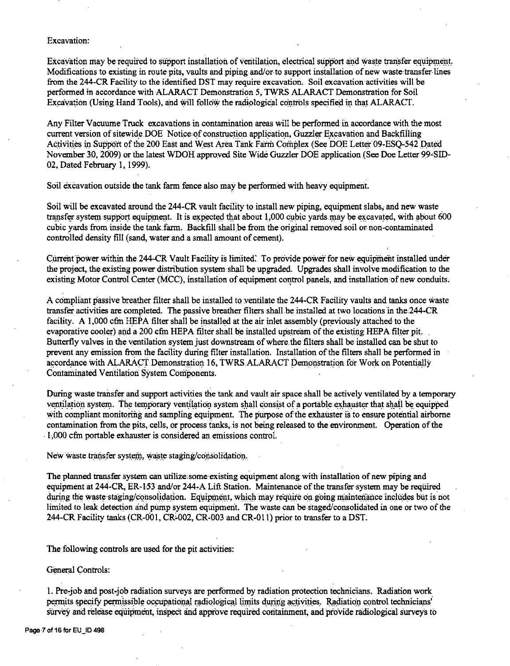## Excavation:

Excavation may be required to support installation of ventilation, electrical support and waste transfer equipment. Modifications to existing in route pits, vaults and piping and/or-to support insiallation of new waste transfer lines from the 244-CR Facility to the identified DST may require excavation. Soil excavation activities will be performed in accordance with ALARACT Demonstration 5, TWR.S ALARACT Demonstration for Soil Excavation (Using Hand Tools), and will follow the radiological controls specified in that ALARACT.

Any Filter VacuumeTruck excavations in contamination areas will be performed in accordance with the most current version of sitewide DOE Notice of construction application, Guzzler Excavation and Backfilling Activities in Support of the 200 East and West Area Tank Farm Complex (See DOE Letter 09-ESQ-542 Dated November 30, 2009) or the latest WDOH approved Site Wide Guzzler DOE application (See Doe Letter 99-SID-02, Dated February I, 1999).

Soil excavation outside the tank farm fence also may be performed with heavy equipment.

Soil will be excavated around the 244-CR vault facility to install new piping, equipment slabs, and new waste transfer system support equipment. It is expected that about 1,000 cubic yards may be excavated, with about 600 cubic yards from inside the tank.farm. Backfill shall.be from the original removed soil or non-contaminated controlled density fill (sand, water and a small amount of cement).

Current power within the 244-CR Vault Facility is limited. To provide power for new equipment installed under the project, the existing power distribution system shall be upgraded. Upgrades shall involve modification to the existing Motor Control Center (MCC), installation of equipment control panels, and installation of new conduits.

A compliant passive breather filter shall be installed to. ventilate the 244-CR Facility vaults and tanks once waste transfer activities are completed. The passive breather filters shall be installed at two locations in the 244-CR facility. A 1,000 cfm HEPA filter shall be installed at the air inlet assembly (previously attached to the evaporative cooler) and a 200 cfin HEPA filter shall be installed upstream of the existing HEPA filter pit. Butterfly valves in the ventilation system just downstream of where the filters shall be installed can be shut to prevent any emission from the facility during filter installation. Installation of the filters shall be performed in accordance with ALARACT Demonstration 16, TWRS.ALARACT Demonstration for Work on Potentially Contaminated Ventilation System Components.

During waste transfer and support activities the tank and vault air space shall be actively ventilated by a temporary ventilation system. The temporary ventilation system shall consist of a portable exhauster that shall be equipped with compliant monitoring and sampling equipment. The purpose of the exhauster is to ensure potential airborne contamination from the pits, cells, or process tanks, is not being released to the environment. Operation of the . 1,000 cfrn portable exhauster is considered an. emissions control.

New waste transfer system, waste staging/consolidation.

The planned transfer system can utilize some existing equipment along with installation of new piping and equipment at 244-CR, ER-i53 and/or 244-A Lift Station. Maintenance of the transfer system may be required during the waste-staging/consolidation. Equipment, which may require on going maintenance includes but is not limited to leak detection and pump system equipment. The waste can be staged/consolidated in one or two of the 244-CR Facility tanks (CR-001, CR-002, CR-003 and CR-011) prior to transfer to a DST.

The following controls are used for the pit activities:

General Controls:

I. Pre,job and post,job radiation surveys are performed by radiation protection technicians. Radiation work permits specify permissible occupational radiological limits during activities. Radiation control technicians' survey and release equipment, inspect and approve required containment, and provide radiological surveys to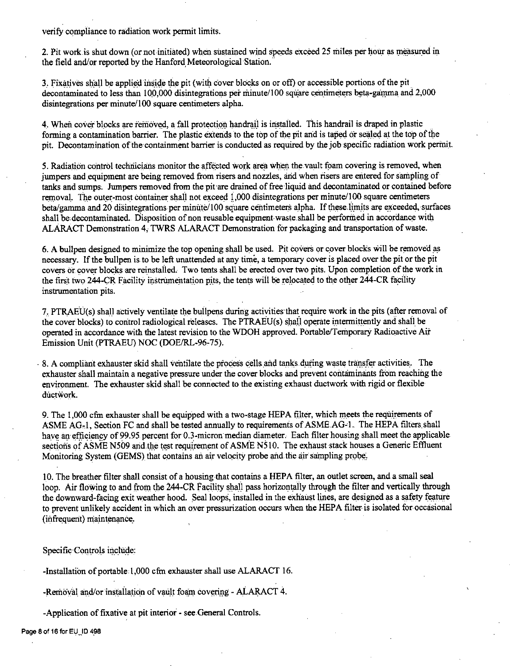verify compliance to radiation work permit limits.

2. Pit work is shut down (or not initiated) when sustained wind speeds exceed 25 miles per hour as measured in the field and/or reported by the Hanford Meteorological Station.

3. Fixatives shall be applied inside the pit (with cover blocks on or off) or accessible portions of the pit decontaminated to less than 100,000 disintegrations per minute/100 square centimeters beta-gamma and 2,000 disintegrations per minute/100 square centimeters alpha.

4. When cover blocks are removed, a fall protection handrail is installed. This handrail is draped in plastic forming a contamination barrier. The plastic extends to the top of the pit and is taped or sealed at the top of the pit. Decontamination of the containment barrier is conducted as required by the job specific radiation work permit.

5. Radiation control technicians monitor the affected work area when the vault foam covering is removed, when jumpers and equipment are being removed from risers and nozzles, and when risers are entered for sampling of tanks and sumps. Jumpers removed from the pit are drained of free liquid and decontaminated or contained before removal. The outer-most container shall not exceed 1,000 disintegrations per minute/100 square centimeters beta/gamma and 20 disintegrations per minute/100 square centimeters alpha. If these limits are exceeded, surfaces shall be decontaminated. Disposition of non reusable equipment waste shall be performed in accordance with ALARACT Demonstration 4, TWRS ALARACT Demonstration for packaging and transportation of waste.

6. A bullpen designed to minimize the top opening shall be used. Pit covers or cover blocks will be removed as necessary. If the bullpen is to be left unattended at any time, a temporary cover is placed over the pit or the pit covers or cover blocks are reinstalled. Two tents shall be erected over two pits. Upon completion of the work in the first two 244-CR Facility instrumentation pits, the tents will be relocated to the other 244-CR facility instrumentation pits.

7. PTRAEU(s) shall actively ventilate the bullpens during activities that require work in the pits (after removal of the cover blocks) to control radiological releases. The PTRAEU(s) shall operate intermittently and shall be operated in accordance with the latest revision to the WDOH approved. Portable/Temporary Radioactive Air Emission Unit (PTRAEU) NOC (DOE/RL-96-75).

8. A compliant exhauster skid shall ventilate the process cells and tanks during waste transfer activities. The exhauster shall maintain a negative pressure under the cover blocks and prevent contaminants from reaching the environment. The exhauster skid shall be connected to the existing exhaust ductwork with rigid or flexible ductwork.

9. The 1,000 cfm exhauster shall be equipped with a two-stage HEPA filter, which meets the requirements of ASME AG<sub>r</sub>1, Section FC and shall be tested annually to requirements of ASME AG-1. The HEPA filters shall have an efficiency of 99.95 percent for 0.3-micron median diameter. Each filter housing shall meet the applicable sections of ASME N509 and the test requirement of ASME N510. The exhaust stack houses a Generic Effluent Monitoring System (GEMS) that contains an air velocity probe and the air sampling probe.

10. The breather filter shall consist of a housing that contains a HEPA filter, an outlet screen, and a small seal loop. Air flowing to and from the 244-CR Facility shall pass horizontally through the filter and vertically through the downward-facing exit weather hood. Seal loops, installed in the exhaust lines, are designed as a safety feature to prevent unlikely accident in which an over pressurization occurs when the HEPA filter is isolated for occasional (infrequent) maintenance.

Specific Controls include:

-Installation of portable 1,000 cfm exhauster shall use ALARACT 16.

-Removal and/or installation of vault foam covering - ALARACT 4.

-Application of fixative at pit interior - see General Controls.

Page 8 of 16 for EU\_ID 498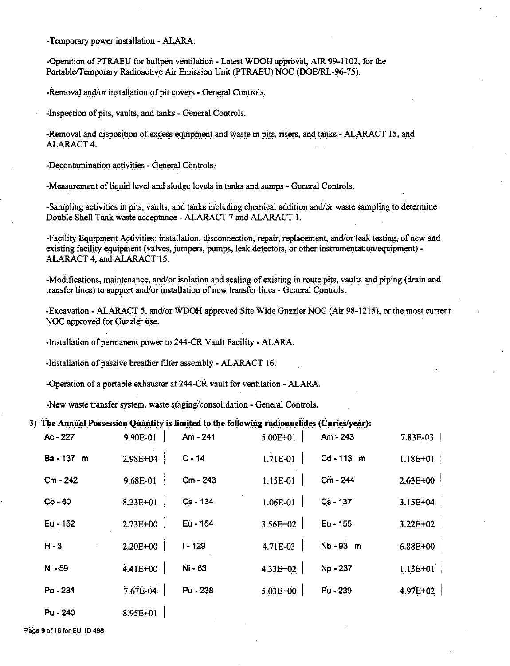-Temporary power installation - ALARA.

-Operation of PTRAEU for bullpen ventilation - Latest WDOH approval, AIR 99-1102, for the Portable/Temporary Radioactive Air Emission Unit (PTRAEU) NOC (DOE/RL-96-75).

-Removal and/or installation of pit covers - General Controls.

-Inspection of pits, vaults, and tanks - General Controls.

-Removal and disposition of excess equipment and waste in pits, risers, and tanks - ALARACT 15, and **ALARACT 4.** 

-Decontamination activities - General Controls.

-Measurement of liquid level and sludge levels in tanks and sumps - General Controls.

-Sampling activities in pits, vaults, and tanks including chemical addition and/or waste sampling to determine Double Shell Tank waste acceptance - ALARACT 7 and ALARACT 1.

-Facility Equipment Activities: installation, disconnection, repair, replacement, and/or leak testing, of new and existing facility equipment (valves, jumpers, pumps, leak detectors, or other instrumentation/equipment) -ALARACT 4, and ALARACT 15.

-Modifications, maintenance, and/or isolation and sealing of existing in route pits, vaults and piping (drain and transfer lines) to support and/or installation of new transfer lines - General Controls.

-Excavation - ALARACT 5, and/or WDOH approved Site Wide Guzzler NOC (Air 98-1215), or the most current NOC approved for Guzzler use.

-Installation of permanent power to 244-CR Vault Facility - ALARA.

-Installation of passive breather filter assembly - ALARACT 16.

-Operation of a portable exhauster at 244-CR vault for ventilation - ALARA.

-New waste transfer system, waste staging/consolidation - General Controls.

### 3) The Annual Possession Quantity is limited to the following radionuclides (Curies/year):

| Ac - 227   | 9.90E-01     | Am - 241  | 5.00E+01     | Am - 243 | 7.83E-03     |
|------------|--------------|-----------|--------------|----------|--------------|
| Ba - 137 m | 2.98E+04     | $C - 14$  | 1.71E-01     | Cd-113 m | $1.18E + 01$ |
| Cm - 242   | 9.68E-01     | Cm - 243  | 1.15E-01     | Cm - 244 | $2.63E + 00$ |
| $Co - 60$  | $8.23E + 01$ | Cs-134    | 1.06E-01     | Cs - 137 | $3.15E + 04$ |
| Eu - 152   | 2.73E+00     | Eu - 154  | 3.56E+02     | Eu - 155 | $3.22E + 02$ |
| $H - 3$    | 2.20E+00     | $1 - 129$ | 4.71E-03     | Nb-93 m  | 6.88E+00     |
| Ni - 59    | 4.41E+00     | Ni - 63   | 4.33E+02     | Np - 237 | $1.13E+01$   |
| Pa - 231   | 7.67E-04     | Pu - 238  | $5.03E + 00$ | Pu - 239 | 4.97E+02     |
| Pu - 240   | 8.95E+01     |           |              |          |              |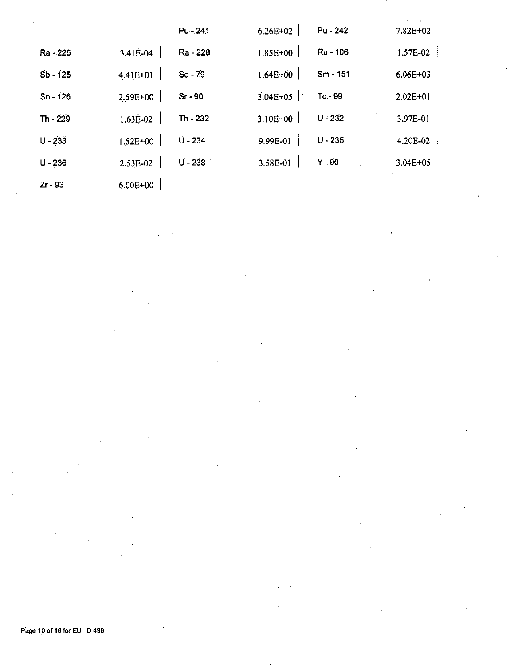|            |              | $Pu - 24.1$ | $6.26E + 02$ | Pu - 242  | $7.82E + 02$ |
|------------|--------------|-------------|--------------|-----------|--------------|
| Ra - 226   | 3.41E-04     | Ra - 228    | 1.85E+00     | Ru - 106  | $1.57E-02$   |
| Sb - 125   | 4.41E+01     | Se - 79     | $1.64E + 00$ | Sm - 151  | 6.06E+03     |
| $Sn - 126$ | 2.59E+00     | $Sr - 90$   | $3.04E + 05$ | $Tc - 99$ | $2.02E + 01$ |
| Th - 229   | 1.63E-02     | Th - 232    | 3.10E+00     | $U - 232$ | 3.97E-01     |
| $U - 233$  | $1.52E + 00$ | $U - 234$   | 9.99E-01     | $U - 235$ | 4.20E-02     |
| $U - 236$  | 2.53E-02     | $U - 238$   | 3.58E-01     | $Y - 90$  | $3.04E + 05$ |
| $Zr - 93$  | $6.00E + 00$ |             |              |           |              |

Page 10 of 16 for EU\_ID 498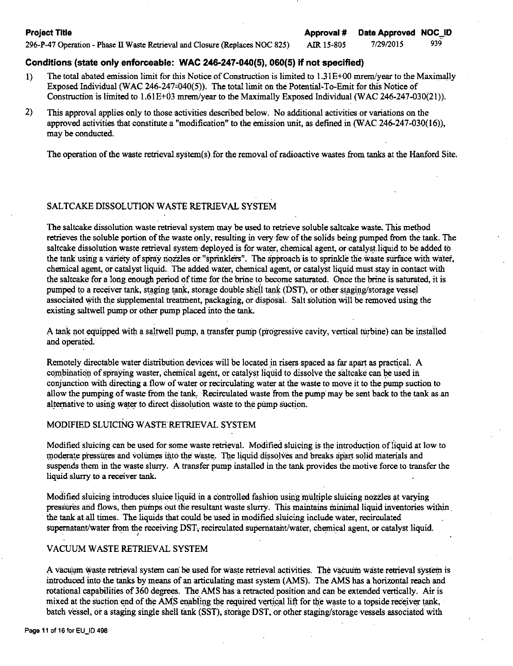7/29/2015 939

AIR 15-805

296-P-47 Operation - Phase II Waste Retrieval and Closure (Replaces NOC 825)

## **Conditions (state only enforceable: WAC 246-247-040(5), 060(5) if not specified}**

- I) The total abated emission limit for this Notice of Construction is limited to 1.31 E+00 mrem/year to the Maximally Exposed Individual (WAC 246-247-040(5)). The total limit on the Potential-To-Emit for this Notice of Construction is limited to 1.6IE+03 mrem/year to the Maximally Exposed Individual (WAC 246-247-030(21)).
- 2) This approval applies only to those activities described below. No additional activities or variations on the approved activities that constitute a "modification" to the emission unit, as defined in (WAC 246-247-030(16)), may be conducted.

The operation of the waste retrieval system(s) for the removal of radioactive wastes from tanks at the Hanford Site.

# SALTCAKE DISSOLUTION WASTE RETRIEVAL SYSTEM

The saltcake dissolution waste retrieval system may be used to retrieve soluble saltcake waste .. This method retrieves the soluble portion of the waste only, resulting in very few of the solids being pumped from the tank. The saltcake dissolution waste retrieval system deployed is for water, chemical agent, or catalyst.liquid to be added to the tank using a variety of spray nozzles or "sprinklers". The approach is to sprinkle the waste surface with water, chemical agent, or catalyst liquid. The added water, chemical agent, or catalyst liquid must stay in contact with the saltcake for a long enough period of time for the brine to become saturated. Once the brine is saturated, it is pumped to a receiver tank, staging tank, storage double shell tank (DST), or other staging/storage vessel associated with the supplemental treatment, packaging, or disposal. Salt solution will be removed using the existing saltwell pump or other pump placed into the tank.

A tank not equipped with a saltwell pump, a transfer pump (progressive cavity, vertical turbine) can be installed and operated.

Remotely directable water distribution devices will be located in risers spaced as far apart as practical. A combination of spraying waster, chemical agent, or catalyst liquid to dissolve the saltcake can be used in conjunction with directing a flow of water or recirculating water at the waste to move it to the pump suction to allow the pumping of waste from the tank, Recirculated waste from the pump may be sent back to the tank as an alternative to using water to direct dissolution waste to the pump suction.

## MODIFIED SLUICING WASTE RETRIEVAL SYSTEM

Modified sluicing can be used for some waste retrieval. Modified sluicing is the introduction of ii quid at low to moderate pressures and volumes into the waste. The liquid dissolves and breaks apart solid materials and suspends them in the waste slurry. A transfer pump installed in the tank provides the motive force to transfer the liquid slurry to a receiver tank.

Modified sluicing introduces sluice liquid in a controlled fashion using multiple sluicing nozzles at varying pressures and flows, then pumps out the resultant waste slurry. This maintains minimal liquid inventories within. the tank at all times. The liquids that could be used in modified sluicing include water, recirculated supernatant/water from the receiving DST, recirculated supernatant/water, chemical agent, or catalyst liquid.

## VACUUM WASTE RETRIEVAL SYSTEM

A vacuum waste retrieval system can be used for waste retrieval activities. The vacuum waste retrieval system is introduced into the tanks by means of an articulating mast system (AMS) .. The AMS has a horizontal reach and rotational capabilities of 360 degrees. The AMS has a retracted position and can be extended vertically. Air is mixed at the suction end of the AMS enabling the required vertical lift for the waste to a topside receiver tank, batch vessel, or a staging single shell tank (SST), storage DST, or other staging/storage-vessels associated with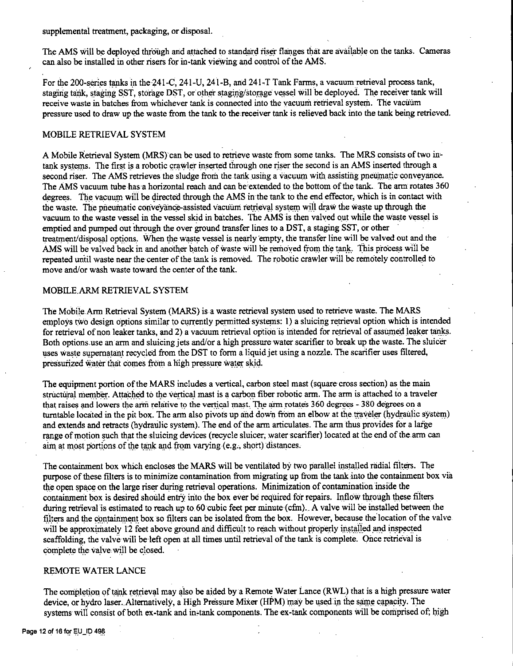supplemental treatment, packaging, or disposal.

The AMS will be deployed through and attached to standard riser flanges that are available on the tanks. Cameras can.also be installed in other risers for in-tank viewing and control of the AMS.

For the 200-series tanks in the 241-C, 241-U, 241-B, and 241-T Tank Farms, a vacuum retrieval process tank, staging tank, staging SST, storage DST, or other staging/storage vessel will be deployed. The receiver tank will receive waste in batches from whichever tank is connected into the vacuum retrieval system. The vacuum pressure used to draw up the waste from the tank to the receiver tank is relieved back into the tank being retrieved.

## MOBILE RETRIEVAL SYSTEM

A Mobile Retrieval System (MRS) can be used to retrieve waste from some tanks. The MRS consists of two intank systems. The first is a robotic crawler inserted through one riser the second is an AMS inserted through a second riser. The AMS retrieves the sludge from the tank using a vacuum with assisting pneumatic conveyance. The AMS vacuum tube has a horizontal reach and can be extended to the bottom of the tank. The arm rotates 360 degrees. The vacuum will be directed through the AMS in the tank to the end effector, which is in contact with the waste. The prieumatic conveyance-assisted vacuum retrieval system will draw the waste up through the vacuum to the waste vessel in the vessel skid in batches. The AMS is then valved out while the waste vessel is emptied and pumped out through the over ground transfer lines to a DST, a staging SST, or other treatment/disposal options. When the waste vessel is nearly empty, the transfer line will be valved out and the AMS will be valved back in and another batch of waste will be removed from the tank. This process will be repeated until waste near the center of the tank is removed. The robotic crawler-will be remotely controlled to move and/or wash waste toward the center of the tank.

## MOBILE.ARM RETRIEVAL SYSTEM

The Mobile Arm Retrieval System (MARS) is a waste retrieval system used to retrieve waste. The MARS employs two design options similar to currently permitted systems: 1) a sluicing retrieval option which is intended for retrieval of non leaker tanks, and 2) a vacuum retrieval option is intended for retrieval of assumed leaker tanks. Both options use an arm and sluicing jets and/or a high pressure water scarifier to break up the waste. The sluicer uses waste supernatant recycled from the DST to form a liquid jet using a nozzle. The scarifier uses filtered, pressurized water that comes from a high pressure water skid.

The equipment portion of the MARS includes a vertical, carbon steel mast (square cross section) as the main structural member. Attached to the vertical mast is a carbon fiber robotic arm. The arm is attached to a traveler that raises and lowers the arm relative to the vertical mast. The arm rotates 360 degrees - 380 degrees on a turntable located in the pit box. The arm also pivots up and down from an elbow at the traveler (hydraulic system) and extends and retracts (hydraulic system). The end of the arm articulates. The arm thus provides for a large range of motion such that the sluicing devices (recycle sluicer, water scarifier) located at the end of the arm can aim at most portions of the tank and from varying (e.g., short) distances.

The containment box which encloses the MARS will be ventilated by two parallel installed radial filters. The purpose of these filters is to minimize contamination from migrating up from the tank into the containment box via the open space on the large riser during retrieval operations. Minimization of contamination inside the containment box is desired should entry into the box ever be required for repairs. Inflow through these filters during retrieval is estimated to reach up to 60 cubic feet per minute (cfm). A valve will be installed between the filters and the containment box so filters can be isolated from the box. However, because the location of the valve will be approximately 12 feet above ground and difficult to reach without properly installed and inspected scaffolding, the valve will be left open at all times until retrieval of the tank is complete. Once retrieval is complete the valve will be closed.

## REMOTE WATER LANCE

The completion of tank retrieval may also be aided by a Remote Water Lance (RWL) that is a high pressure water device, or hydro laser. Alternatively, a High Pressure Mixer (HPM) may be used in the same capacity. The systems will consist of both ex-tank and in-tank components. The ex-tank components will be comprised of; high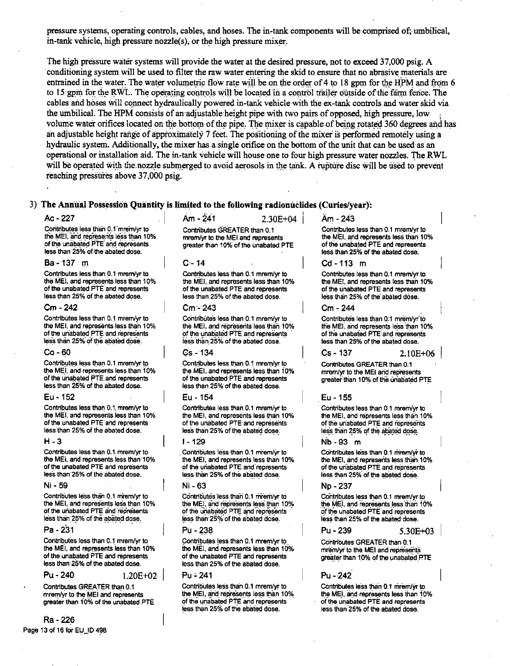pressure systems, operating controls, cables, and hoses. The in-tank components will be comprised of;- umbilical, in-tank vehicle, high pressure nozzle(s); or the high pressure mixer.

The high pressure water systems will provide the water at the desired pressure, not to exceed 37,000 psig. A conditioning system will be used to filter the raw water entering the skid to ensure that no abrasive materials are entrained in the water. The water volumetric flow rate will be on the order of 4 to 18 gpm for the HPM and from 6 to 15 gpm for the RWL. The operating controls will be located in a control trailer outside of the farm fence. The cables and hoses will connect hydraulically powered in-tank vehicle with the ex-tank controls and water skid via the umbilical. The HPM consists of an adjustable height pipe with two pairs of opposed, high pressure, low r volume water orifices located on the bottom of the pipe. The mixer is capable of being rotated 360 degrees and has an adjustable height range of approximately 7 feet. The positioning of the mixer is performed remotely using a hydraulic system. Additionally, the mixer has a single orifice on the bottom of the unit that can be used as an operational or installation aid. The in-tank vehicle will house one to four high pressure water nozzles. The RWL will be operated with the nozzle submerged to avoid aerosols in the tank. A rupture disc will be used to prevent reaching pressures above 37,000 psig.

## 3) **The Anniial Possession Quantity is limi.ted to the following radionudides (Curies/year):**

**Contributes less than 0.1 mrem/yr to** the MEI, and represents less than 10%  $of$  the unabated PTE and represents less than 25% of the abated dose.

#### **Ba-137** n,

Contributes less than 0.1 mrem/yr to the MEI, and represents less than 10% **of the unabated PTE·and represents**  less than 25% of the abated dose.

#### Cm - 242

Contrlbutes less than 0.1 mrem/yr to the MEI, and represents less than 10% **of the unabated PTE and iepres'ents**  less than 25% of the abated dose.

#### Co-60

Contributes less than 0.1 mrem/vr to **the MEI, and represents less than 10% Of the Unabated PTE.anct" represents**  less than 25% of the abated dose.

#### Eu - 152

Contributes less than 0.1, mrem/yr to **the MEI, and represeints less than 10% of the unabated PTE:and represents less than 25% of the abated dose.** 

#### $H - 3$

**Contributes less than 0.1. mrem/yr to**  the MEI. and represents less than·10% **of the unabated PTE and represents**  less than 25% of the abated dose.

#### Ni-59

**Contributes less than 0.1 mrem/yr to the MEI, and represents leSs than 10% Of the uriabated PTE·clnd·repreSents**  less than 25% of the abated dose.

#### **Pa** -231

Contributes less than 0.1 mrem/yr to the MEI, and represents less than 10% of the unabated PTE and represents less than 25% of the abated dose.

**Pu-240** L20E+o2

Contributes GREATER than 0.1 mrem/yr to the MEI and represents **greater than 10% of the unabated.PTE** 

## Ra -226 Page 13 of 16 for EU\_ID 498

Ac - 227 . j Am -  $241$  2.30E+04  $\vert$  Am - 243

Contributes GREATER than 0.1 **mrem/yr to the MEI and represents greater than·10% of the Unabated PTE** 

#### $C = 14$

Contrjbutes less than 0.1 mrem/yr to **the MEI, and represents less thaii 10%**  of the unabated PTE and represents less than 25% of the abated dose.

#### Cm -243

**COntribUte·s less than O: 1 mrem/yr to**  the MEI, and represents less than 10% of the unabated PTE and represents less than 25% of the abated dose.

#### Gs-134

Contributes less than 0.1 mrem/yr to the MEI, and represents less than 10% of the unabated PTE and represents less than 25% of the abated dose.

#### Eu -154

Contributes less than 0.1 mrem/yr to the MEI, and represents less than 10% **of the unabated PTE·and represents less than-25% of the &bated dOse.** 

#### 1-129

Contributes less than 0.1 mrem/yr to the MEI. and represents less than 10% of the unabated PTE and represents less than 25% of the abated dose.

#### Ni-63

Contributes less than 0.1 mrem/yr to **the'MEf, ind r8Pf8s8nts leSS than· 10% Of the U1illbcit8d PtE 8iid ·;epl"8s8nts** . less than 25% of the abated dose.

#### Pu - 238

Contributes less than 0.1 mrem/yr to. the MEI. and represents less than 10% **of the unabated PTE and represents less than 25% of the abated dose.** 

#### Pu - 241

Contributes less than 0.1 mrem/yr to the MEI, and represents less than 10% of the unabated PTE and represents less than 25% of the abated dose.

Contributes less than 0.1 mrem/yr to the MEI, and represents less than 10% of the unabated PTE and represents less than 25% of the abated dose.

#### Cd-113 m

Contributes less than 0.1 mrem/vr to the MEI. and represents less than 10% **of the Unabated PTE and represents**  less than 25% of the abated dose.

## Cm -244

**Contributes leSs than o\_:1 mremtyr·to**  the MEI, and represents less than 10% of the unabated PTE and represents less than 25% of the abated dose.

## Cs-137 2.!0E+06

Contrlbutes GREATER than 0:1 **mrem/yr to the MEI arid rep·resents**  greater than 10% of the unabated PTE

#### . Eu-155

**Contributes· fess than 0.1 mrem/yr to the MEI, and represents-less than 10%**  of the unabated PTE and represents less than 25% of the abated dose.

#### Nb-93 m

Contributes less than 0.1 mrem/yr to  $the MEI, and represents less than 10%$ **Of the unabated\_ PTE and represents**  less than 25% of the abated dose.

#### Np-237

Contributes less than 0.1 mrem/yr.to the MEI, and represents less than 10%  $-$ **of the unabated PTE** and represents less than 25% of the abated dose.

Pu -239 5.30E+o3

Contributes GREATER than 0.1  $m$  *infem/yr'* to the MEI and represents greater than 10% of the unabated PTE

#### Pu - 242

Contrlbutes less than 0.1 mrem/yr to the MEI, and represents less than 10%  $of the unabated PTE and represents$ **less than 25% of the abated dose.**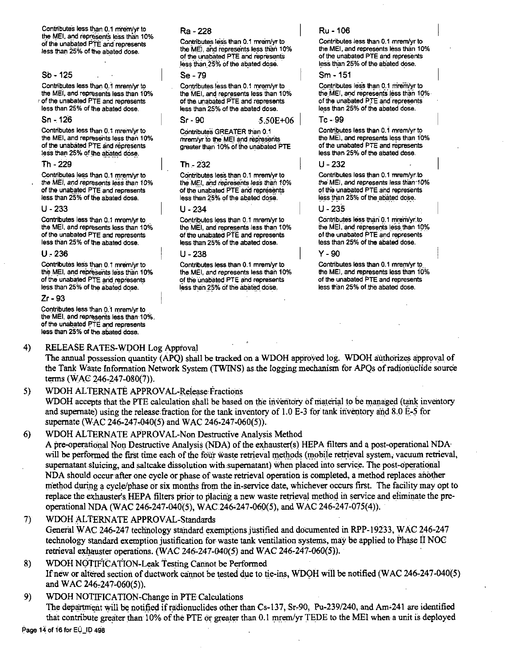Contributes less than 0.1 mrem/vr to the MEI, and represents less than 10% of the unabated PTE and represents less than 25% of the abated dose.

### $Sb - 125$

Contributes less than 0.1 mrem/yr to the MEI, and represents less than 10% of the unabated PTE and represents less than 25% of the abated dose.

#### Sn - 126

Contributes less than 0.1 mrem/yr to the MEI, and represents less than 10% of the unabated PTE and represents less than 25% of the abated dose.

#### Th - 229

Contributes less than 0.1 mrem/yr to the MEI, and represents less than 10% of the unabated PTE and represents less than 25% of the abated dose.

#### $11 - 233$

Contributes less than 0.1 mrem/yr to the MEI, and represents less than 10% of the unabated PTE and represents less than 25% of the abated dose.

#### $U - 236$

Contributes less than 0.1 mrem/yr to the MEI, and represents less than 10% of the unabated PTE and represents less than 25% of the abated dose.

 $2r - 93$ 

Contributes less than 0.1 mrem/vr to the MEI, and represents less than 10%. of the unabated PTE and represents less than 25% of the abated dose.

#### $4)$ RELEASE RATES-WDOH Log Approval

## Ra - 228

Contributes less than 0.1 mrem/vr to the MEI, and represents less than 10% of the unabated PTE and represents less than 25% of the abated dose.

#### $Se - 79$

Contributes less than 0.1 mrem/yr to the MEI, and represents less than 10% of the unabated PTE and represents less than 25% of the abated dose.

 $Sr-90$  $5.50F + 06$ 

Contributes GREATER than 0.1 mrem/vr to the MEI and represents greater than 10% of the unabated PTE

#### Th - 232

Contributes less than 0.1 mrem/vr to the MEI, and represents less than 10% of the unabated PTE and represents less than 25% of the abated dose.

### $11 - 234$

Contributes less than 0.1 mrem/yr to the MFL and represents less than 10% of the unabated PTE and represents less than 25% of the abated dose.

#### 11 - 238

Contributes less than 0.1 mrem/yr to the MEI, and represents less than 10% of the unabated PTE and represents less than 25% of the abated dose.

## Ru - 106

Contributes less than 0.1 mrem/yr to the MEI, and represents less than 10% of the unabated PTE and represents less than 25% of the abated dose.

#### Sm - 151

Contributes less than 0.1 mrem/yr to the MEI, and represents less than 10% of the unabated PTE and represents less than 25% of the abated dose.

#### Tr. 99

Contributes less than 0.1 mrem/yr to the MEI, and represents less than 10% of the unabated PTE and represents less than 25% of the abated dose.

#### $11 - 232$

Contributes less than 0.1 mrem/yr to the MEI, and represents less than 10% of the unabated PTE and represents less than 25% of the abated dose.

#### 11 - 235

Contributes less than 0.1 mrem/yr to the MEI, and represents less than 10% of the unabated PTE and represents less than 25% of the abated dose.

#### Y - 90

Contributes less than 0.1 mrem/yr to the MEI, and represents less than 10% of the unabated PTE and represents less than 25% of the abated dose.

The annual possession quantity (APO) shall be tracked on a WDOH approved log. WDOH authorizes approval of the Tank Waste Information Network System (TWINS) as the logging mechanism for APQs of radionuclide source terms (WAC 246-247-080(7)).

#### 5) WDOH ALTERNATE APPROVAL-Release Fractions

WDOH accepts that the PTE calculation shall be based on the inventory of material to be managed (tank inventory and supernate) using the release fraction for the tank inventory of 1.0 E-3 for tank inventory and 8.0 E-5 for supernate (WAC 246-247-040(5) and WAC 246-247-060(5)).

#### $6)$ WDOH ALTERNATE APPROVAL-Non Destructive Analysis Method

A pre-operational Non Destructive Analysis (NDA) of the exhauster(s) HEPA filters and a post-operational NDA will be performed the first time each of the four waste retrieval methods (mobile retrieval system, vacuum retrieval, supernatant sluicing, and saltcake dissolution with supernatant) when placed into service. The post-operational NDA should occur after one cycle or phase of waste retrieval operation is completed, a method replaces another method during a cycle/phase or six months from the in-service date, whichever occurs first. The facility may opt to replace the exhauster's HEPA filters prior to placing a new waste retrieval method in service and eliminate the preoperational NDA (WAC 246-247-040(5), WAC 246-247-060(5), and WAC 246-247-075(4)).

- $7)$ WDOH ALTERNATE APPROVAL-Standards General WAC 246-247 technology standard exemptions justified and documented in RPP-19233, WAC 246-247 technology standard exemption justification for waste tank ventilation systems, may be applied to Phase II NOC retrieval exhauster operations. (WAC 246-247-040(5) and WAC 246-247-060(5)).
- 8) WDOH NOTIFICATION-Leak Testing Cannot be Performed If new or altered section of ductwork cannot be tested due to tie-ins, WDOH will be notified (WAC 246-247-040(5) and WAC 246-247-060(5)).
- 9) WDOH NOTIFICATION-Change in PTE Calculations The department will be notified if radionuclides other than Cs-137, Sr-90, Pu-239/240, and Am-241 are identified that contribute greater than 10% of the PTE or greater than 0.1 mrem/yr TEDE to the MEI when a unit is deployed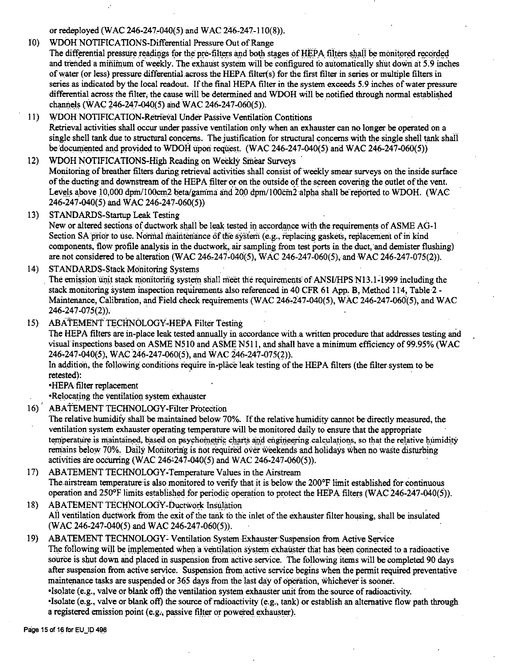or redeployed (WAC 246-247-040(5) and WAC 246-247-110(8)).

- 10) WDOH NOTIFICATIONS-Differential Pressure Out of Range The differential pressure readings for the pre-filters and both stages of HEPA filters shall be monitored recorded and trended a minimum of weekly. The exhaust system will be configured to automatically shut down at 5.9 inches of water (or less) pressure differential.across the HEPAfilter(s) for the first filter in series or multiple filters in series as indicated by the local readout. If the final HEPA filter in the system exceeds 5.9 inches of water pressure differential across the filter, the cause will be determined and WDOH will be notified through normal established channels (WAC 246-247-040(5) and WAC 246-247-060(5)).
- 11) WDOH NOTIFICATION-Retrieval Under Passive Ventilation Contitions Retrieval activities shall occur under passive ventilation only when an exhauster can no longer be operated on a single shell tank due to structural concerns. The justification for structural concerns with the single shell tank shall be documented and provided to WDOH upon request. (WAC 246-247-040(5) and WAC 246-247-060(5))

12) WDOH NOTIFICATIONS-High Reading on Weekly Smear Surveys Monitoring of breather filters during retrieval activities shall consist of weekly smear surveys on the inside surface of the ducting and downstream of the HEPA filter or on the outside of the screen covering the outlet of the vent. Levels above 10,000 dpm/100cm2 beta/gamma and 200 dpm/100cm2 alpha shall be reported to WDOH. (WAC 246-247-040(5) and WAC 246-247-060(5))

13) STANDARDS-Startup Leak Testing

New or altered sections of ductwork shall be leak.tested in accordance with the requirements of ASME AG-I Section SA prior to use. Normal maintenance of the system (e.g., replacing gaskets, replacement of in kind components, flow profile analysis in the ductwork, air sampling from test ports in the duct, and demister flushing) are not considered to be alteration (WAC 246-247-040(5), WAC 246-247-060(5), and WAC 246-247-075(2)).

14) STANDARDS-Stack Monitoring Systems

The emission unit stack monitoring system shall meet the requirements of ANSI/HPS N13.1-1999 including the stack monitoring system inspection requirements also referenced in 40 CFR 61 App. B, Method 114, Table 2 - Maintenance, Calibration, and Field check requirements (WAC 246-247-040(5), WAC 246-247-060(5), and WAC 246-247-075(2)). .

15) ABATEMENT TECHNOLOGY-HEPA Filter Testing

The HEPA filters are in-place leak tested annually in accordance with.a written procedure that addresses testing and visual inspections based on ASME N510 and ASME N511, and shall have a minimum efficiency of 99.95% (WAC 246-247-040(5), WAC 246-247-060(5), and WAC 246-247-075(2)).

In addition, the following conditions require in-place leak testing of the HEPA filters (the filter system to be retested):

•HEPA filter replacement

• Relocating the ventilation system exhauster

16) ABATEMENT TECHNOLOGY-Filter Protection

The relative.humidify shall be maintained below 70%. If the relative humidity cannot be directly measured, the ventilation system exhauster operating temperature will be monitored daily to ensure that the appropriate temperature is maintained, based on psychometric charts and engineering calculations, so that the relative humidity remains below 70%. Daily Moriitoririg is not required over weekends and holidays when no waste disturbing activities are occurring (WAC 246-247-040(5) and WAC 246-247-060(5)).

- 17) ABATEMENT TECHNOLOGY-Temperature Values in the Airstream The airstream temperature is also monitored to verify that it is below the 200°F limit established for continuous operation and  $250^{\circ}$  limits established for periodic operation to protect the HEPA filters (WAC 246-247-040(5)).
- 18) ABATEMENT TECHNOLOGY-Ductwork Insulation All ventilation ductwork from the exit of the tank to the inlet of the exhauster filter housing, shall be insulated  $(WAC.246-247-040(5)$  and WAC 246-247-060(5)).

19) ABATEMENT TECHNOLOGY: Ventilation System Exhauster Suspension from Active Service The following will be implemented when a ventilation system exhauster that has been connected to a radioactive source is shut down and placed in suspension from active service. The following items will be completed 90 days after suspension from active service. Suspension from active service begins when the permit required preventative maintenance tasks are suspended or 365 days from the last day of operation, whichever is sooner.

•Isolate (e.g., valve or blank oft) the ventilation system exhauster unit from the source of radioactivity. •Isolate (e.g., valve or blank oft) the source ofradioactivity (e,g., tank) or establish an alternative flow path through a registered emission point (e.g., passive filter or powered exhauster).